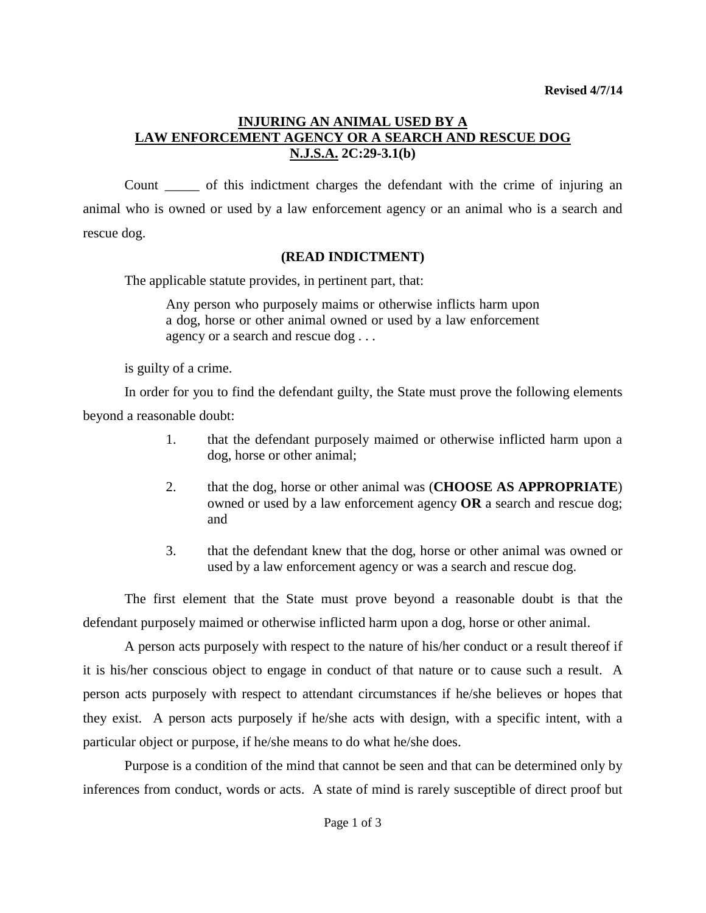## **INJURING AN ANIMAL USED BY A LAW ENFORCEMENT AGENCY OR A SEARCH AND RESCUE DOG N.J.S.A. 2C:29-3.1(b)**

Count \_\_\_\_\_ of this indictment charges the defendant with the crime of injuring an animal who is owned or used by a law enforcement agency or an animal who is a search and rescue dog.

## **(READ INDICTMENT)**

The applicable statute provides, in pertinent part, that:

Any person who purposely maims or otherwise inflicts harm upon a dog, horse or other animal owned or used by a law enforcement agency or a search and rescue dog . . .

is guilty of a crime.

In order for you to find the defendant guilty, the State must prove the following elements beyond a reasonable doubt:

- 1. that the defendant purposely maimed or otherwise inflicted harm upon a dog, horse or other animal;
- 2. that the dog, horse or other animal was (**CHOOSE AS APPROPRIATE**) owned or used by a law enforcement agency **OR** a search and rescue dog; and
- 3. that the defendant knew that the dog, horse or other animal was owned or used by a law enforcement agency or was a search and rescue dog.

The first element that the State must prove beyond a reasonable doubt is that the defendant purposely maimed or otherwise inflicted harm upon a dog, horse or other animal.

A person acts purposely with respect to the nature of his/her conduct or a result thereof if it is his/her conscious object to engage in conduct of that nature or to cause such a result. A person acts purposely with respect to attendant circumstances if he/she believes or hopes that they exist. A person acts purposely if he/she acts with design, with a specific intent, with a particular object or purpose, if he/she means to do what he/she does.

<span id="page-0-0"></span>Purpose is a condition of the mind that cannot be seen and that can be determined only by inferences from conduct, words or acts. A state of mind is rarely susceptible of direct proof but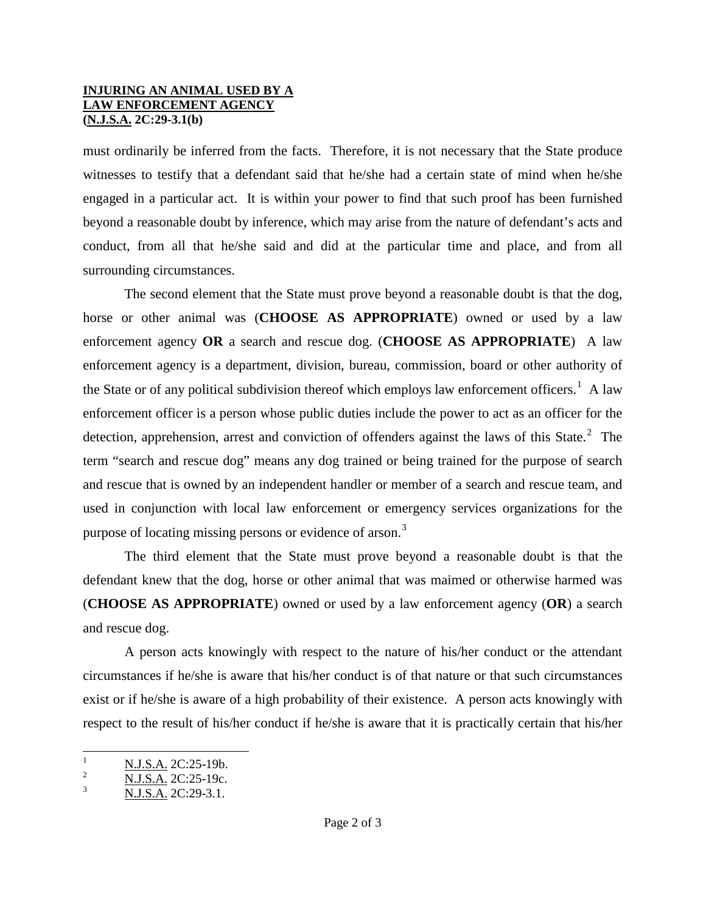## **INJURING AN ANIMAL USED BY A LAW ENFORCEMENT AGENCY (N.J.S.A. 2C:29-3.1(b)**

must ordinarily be inferred from the facts. Therefore, it is not necessary that the State produce witnesses to testify that a defendant said that he/she had a certain state of mind when he/she engaged in a particular act. It is within your power to find that such proof has been furnished beyond a reasonable doubt by inference, which may arise from the nature of defendant's acts and conduct, from all that he/she said and did at the particular time and place, and from all surrounding circumstances.

The second element that the State must prove beyond a reasonable doubt is that the dog, horse or other animal was (**CHOOSE AS APPROPRIATE**) owned or used by a law enforcement agency **OR** a search and rescue dog. (**CHOOSE AS APPROPRIATE**) A law enforcement agency is a department, division, bureau, commission, board or other authority of the State or of any political subdivision thereof which employs law enforcement officers.<sup>[1](#page-0-0)</sup> A law enforcement officer is a person whose public duties include the power to act as an officer for the detection, apprehension, arrest and conviction of offenders against the laws of this State.<sup>[2](#page-1-0)</sup> The term "search and rescue dog" means any dog trained or being trained for the purpose of search and rescue that is owned by an independent handler or member of a search and rescue team, and used in conjunction with local law enforcement or emergency services organizations for the purpose of locating missing persons or evidence of arson.<sup>[3](#page-1-1)</sup>

The third element that the State must prove beyond a reasonable doubt is that the defendant knew that the dog, horse or other animal that was maimed or otherwise harmed was (**CHOOSE AS APPROPRIATE**) owned or used by a law enforcement agency (**OR**) a search and rescue dog.

A person acts knowingly with respect to the nature of his/her conduct or the attendant circumstances if he/she is aware that his/her conduct is of that nature or that such circumstances exist or if he/she is aware of a high probability of their existence. A person acts knowingly with respect to the result of his/her conduct if he/she is aware that it is practically certain that his/her

<sup>&</sup>lt;sup>1</sup><br>
<u>2 N.J.S.A.</u> 2C:25-19b.<br>
3 N.J.S.A. 2C:29-3.1.

<span id="page-1-0"></span>

<span id="page-1-1"></span>